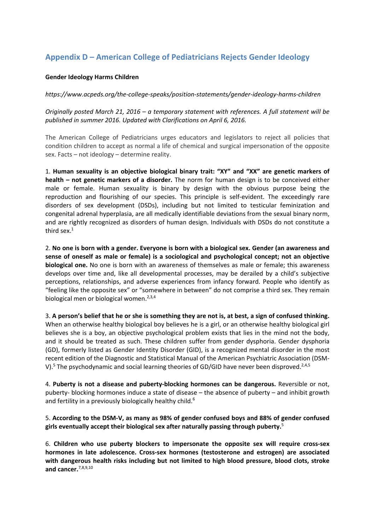## **Appendix D – American College of Pediatricians Rejects Gender Ideology**

## **Gender Ideology Harms Children**

*https://www.acpeds.org/the-college-speaks/position-statements/gender-ideology-harms-children*

*Originally posted March 21, 2016 – a temporary statement with references. A full statement will be published in summer 2016. Updated with Clarifications on April 6, 2016.* 

The American College of Pediatricians urges educators and legislators to reject all policies that condition children to accept as normal a life of chemical and surgical impersonation of the opposite sex. Facts – not ideology – determine reality.

1. **Human sexuality is an objective biological binary trait: "XY" and "XX" are genetic markers of health – not genetic markers of a disorder.** The norm for human design is to be conceived either male or female. Human sexuality is binary by design with the obvious purpose being the reproduction and flourishing of our species. This principle is self-evident. The exceedingly rare disorders of sex development (DSDs), including but not limited to testicular feminization and congenital adrenal hyperplasia, are all medically identifiable deviations from the sexual binary norm, and are rightly recognized as disorders of human design. Individuals with DSDs do not constitute a third sex.<sup>1</sup>

2. **No one is born with a gender. Everyone is born with a biological sex. Gender (an awareness and sense of oneself as male or female) is a sociological and psychological concept; not an objective biological one.** No one is born with an awareness of themselves as male or female; this awareness develops over time and, like all developmental processes, may be derailed by a child's subjective perceptions, relationships, and adverse experiences from infancy forward. People who identify as "feeling like the opposite sex" or "somewhere in between" do not comprise a third sex. They remain biological men or biological women. $2,3,4$ 

3. **A person's belief that he or she is something they are not is, at best, a sign of confused thinking.** When an otherwise healthy biological boy believes he is a girl, or an otherwise healthy biological girl believes she is a boy, an objective psychological problem exists that lies in the mind not the body, and it should be treated as such. These children suffer from gender dysphoria. Gender dysphoria (GD), formerly listed as Gender Identity Disorder (GID), is a recognized mental disorder in the most recent edition of the Diagnostic and Statistical Manual of the American Psychiatric Association (DSM-V).<sup>5</sup> The psychodynamic and social learning theories of GD/GID have never been disproved.<sup>2,4,5</sup>

4. **Puberty is not a disease and puberty-blocking hormones can be dangerous.** Reversible or not, puberty- blocking hormones induce a state of disease – the absence of puberty – and inhibit growth and fertility in a previously biologically healthy child.<sup>6</sup>

5. **According to the DSM-V, as many as 98% of gender confused boys and 88% of gender confused girls eventually accept their biological sex after naturally passing through puberty.**<sup>5</sup>

6. **Children who use puberty blockers to impersonate the opposite sex will require cross-sex hormones in late adolescence. Cross-sex hormones (testosterone and estrogen) are associated with dangerous health risks including but not limited to high blood pressure, blood clots, stroke and cancer.**7,8,9,10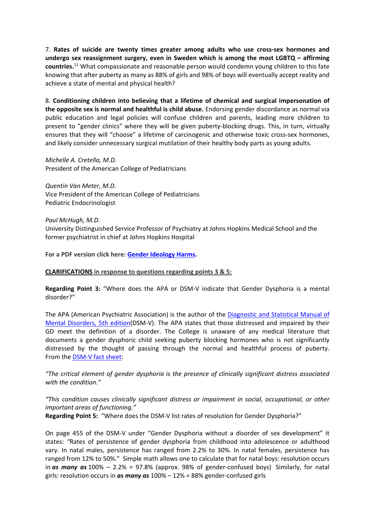7. **Rates of suicide are twenty times greater among adults who use cross-sex hormones and undergo sex reassignment surgery, even in Sweden which is among the most LGBTQ – affirming countries.**<sup>11</sup> What compassionate and reasonable person would condemn young children to this fate knowing that after puberty as many as 88% of girls and 98% of boys will eventually accept reality and achieve a state of mental and physical health?

8. **Conditioning children into believing that a lifetime of chemical and surgical impersonation of the opposite sex is normal and healthful is child abuse.** Endorsing gender discordance as normal via public education and legal policies will confuse children and parents, leading more children to present to "gender clinics" where they will be given puberty-blocking drugs. This, in turn, virtually ensures that they will "choose" a lifetime of carcinogenic and otherwise toxic cross-sex hormones, and likely consider unnecessary surgical mutilation of their healthy body parts as young adults.

*Michelle A. Cretella, M.D.* President of the American College of Pediatricians

*Quentin Van Meter, M.D.* Vice President of the American College of Pediatricians Pediatric Endocrinologist

*Paul McHugh, M.D.*

University Distinguished Service Professor of Psychiatry at Johns Hopkins Medical School and the former psychiatrist in chief at Johns Hopkins Hospital

**For a PDF version click here: [Gender Ideology Harms.](http://www.acpeds.org/wordpress/wp-content/uploads/4.11.16-Word-version-Gender-Ideology-Harms-Clarified-DT-formated.pdf)**

**CLARIFICATIONS in response to questions regarding points 3 & 5:**

**Regarding Point 3:** "Where does the APA or DSM-V indicate that Gender Dysphoria is a mental disorder?"

The APA (American Psychiatric Association) is the author of the [Diagnostic and Statistical Manual of](http://psy-gradaran.narod.ru/lib/clinical/DSM5.pdf)  [Mental Disorders, 5th edition\(](http://psy-gradaran.narod.ru/lib/clinical/DSM5.pdf)DSM-V). The APA states that those distressed and impaired by their GD meet the definition of a disorder. The College is unaware of any medical literature that documents a gender dysphoric child seeking puberty blocking hormones who is not significantly distressed by the thought of passing through the normal and healthful process of puberty. From the **DSM-V** fact sheet:

*"The critical element of gender dysphoria is the presence of clinically significant distress associated with the condition."*

*"This condition causes clinically significant distress or impairment in social, occupational, or other important areas of functioning."*

**Regarding Point 5:** "Where does the DSM-V list rates of resolution for Gender Dysphoria?"

On page 455 of the DSM-V under "Gender Dysphoria without a disorder of sex development" it states: *"*Rates of persistence of gender dysphoria from childhood into adolescence or adulthood vary. In natal males, persistence has ranged from 2.2% to 30%. In natal females, persistence has ranged from 12% to 50%." Simple math allows one to calculate that for natal boys: resolution occurs in *as many as* 100% – 2.2% = 97.8% (approx. 98% of gender-confused boys) Similarly, for natal girls: resolution occurs in *as many as* 100% – 12% = 88% gender-confused girls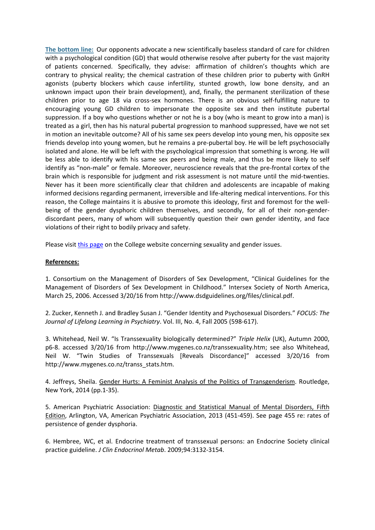**The bottom line:** Our opponents advocate a new scientifically baseless standard of care for children with a psychological condition (GD) that would otherwise resolve after puberty for the vast majority of patients concerned. Specifically, they advise: affirmation of children's thoughts which are contrary to physical reality; the chemical castration of these children prior to puberty with GnRH agonists (puberty blockers which cause infertility, stunted growth, low bone density, and an unknown impact upon their brain development), and, finally, the permanent sterilization of these children prior to age 18 via cross-sex hormones. There is an obvious self-fulfilling nature to encouraging young GD children to impersonate the opposite sex and then institute pubertal suppression. If a boy who questions whether or not he is a boy (who is meant to grow into a man) is treated as a girl, then has his natural pubertal progression to manhood suppressed, have we not set in motion an inevitable outcome? All of his same sex peers develop into young men, his opposite sex friends develop into young women, but he remains a pre-pubertal boy. He will be left psychosocially isolated and alone. He will be left with the psychological impression that something is wrong. He will be less able to identify with his same sex peers and being male, and thus be more likely to self identify as "non-male" or female. Moreover, neuroscience reveals that the pre-frontal cortex of the brain which is responsible for judgment and risk assessment is not mature until the mid-twenties. Never has it been more scientifically clear that children and adolescents are incapable of making informed decisions regarding permanent, irreversible and life-altering medical interventions. For this reason, the College maintains it is abusive to promote this ideology, first and foremost for the wellbeing of the gender dysphoric children themselves, and secondly, for all of their non-genderdiscordant peers, many of whom will subsequently question their own gender identity, and face violations of their right to bodily privacy and safety.

Please visi[t this page](http://www.acpeds.org/parents/sexuality/sexuality-and-gender-issues) on the College website concerning sexuality and gender issues.

## **References:**

1. Consortium on the Management of Disorders of Sex Development, "Clinical Guidelines for the Management of Disorders of Sex Development in Childhood." Intersex Society of North America, March 25, 2006. Accessed 3/20/16 from http://www.dsdguidelines.org/files/clinical.pdf.

2. Zucker, Kenneth J. and Bradley Susan J. "Gender Identity and Psychosexual Disorders." *FOCUS: The Journal of Lifelong Learning in Psychiatry*. Vol. III, No. 4, Fall 2005 (598-617).

3. Whitehead, Neil W. "Is Transsexuality biologically determined?" *Triple Helix* (UK), Autumn 2000, p6-8. accessed 3/20/16 from http://www.mygenes.co.nz/transsexuality.htm; see also Whitehead, Neil W. "Twin Studies of Transsexuals [Reveals Discordance]" accessed 3/20/16 from http://www.mygenes.co.nz/transs\_stats.htm.

4. Jeffreys, Sheila. Gender Hurts: A Feminist Analysis of the Politics of Transgenderism. Routledge, New York, 2014 (pp.1-35).

5. American Psychiatric Association: Diagnostic and Statistical Manual of Mental Disorders, Fifth Edition, Arlington, VA, American Psychiatric Association, 2013 (451-459). See page 455 re: rates of persistence of gender dysphoria.

6. Hembree, WC, et al. Endocrine treatment of transsexual persons: an Endocrine Society clinical practice guideline. *J Clin Endocrinol Metab*. 2009;94:3132-3154.